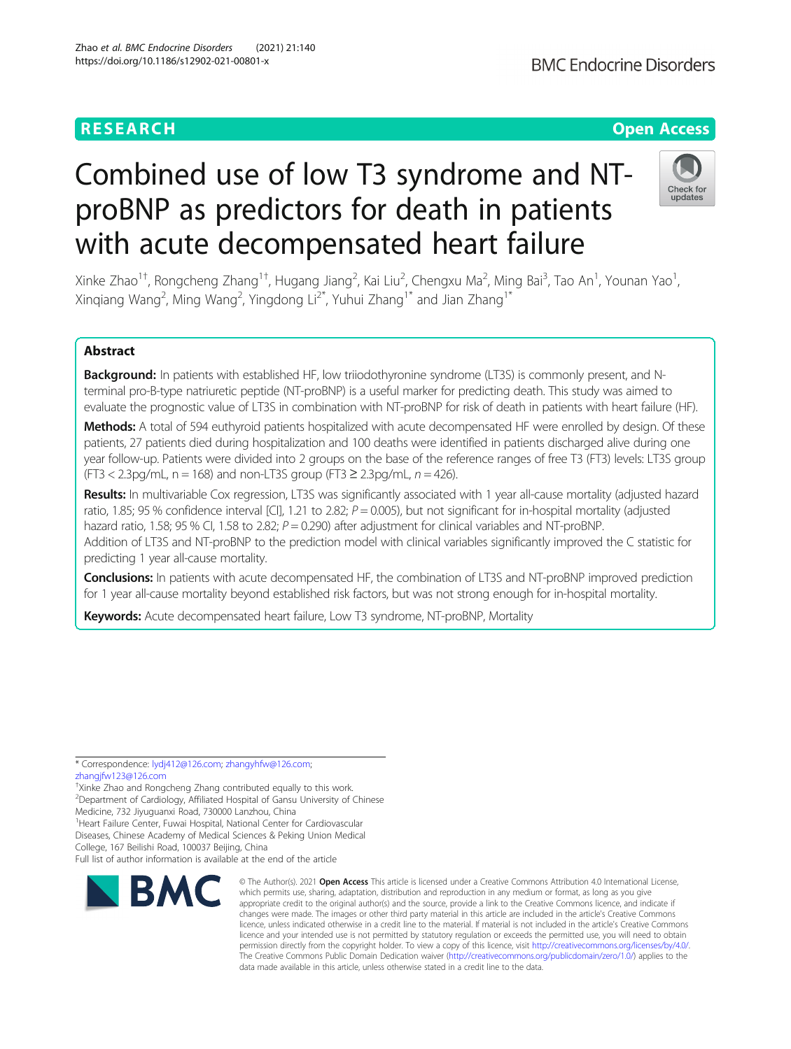## **BMC Endocrine Disorders**

## **RESEARCH CHE Open Access**

## Check for undates

# Combined use of low T3 syndrome and NTproBNP as predictors for death in patients with acute decompensated heart failure

Xinke Zhao<sup>1†</sup>, Rongcheng Zhang<sup>1†</sup>, Hugang Jiang<sup>2</sup>, Kai Liu<sup>2</sup>, Chengxu Ma<sup>2</sup>, Ming Bai<sup>3</sup>, Tao An<sup>1</sup>, Younan Yao<sup>1</sup> , Xinqiang Wang<sup>2</sup>, Ming Wang<sup>2</sup>, Yingdong Li<sup>2\*</sup>, Yuhui Zhang<sup>1\*</sup> and Jian Zhang<sup>1\*</sup>

## Abstract

Background: In patients with established HF, low triiodothyronine syndrome (LT3S) is commonly present, and Nterminal pro-B-type natriuretic peptide (NT-proBNP) is a useful marker for predicting death. This study was aimed to evaluate the prognostic value of LT3S in combination with NT-proBNP for risk of death in patients with heart failure (HF).

Methods: A total of 594 euthyroid patients hospitalized with acute decompensated HF were enrolled by design. Of these patients, 27 patients died during hospitalization and 100 deaths were identified in patients discharged alive during one year follow-up. Patients were divided into 2 groups on the base of the reference ranges of free T3 (FT3) levels: LT3S group  $(FT3 < 2.3pq/mL, n = 168)$  and non-LT3S group  $(FT3 \ge 2.3pq/mL, n = 426)$ .

Results: In multivariable Cox regression, LT3S was significantly associated with 1 year all-cause mortality (adjusted hazard ratio, 1.85; 95 % confidence interval  $\lbrack$  [CI], 1.21 to 2.82;  $P = 0.005$ ), but not significant for in-hospital mortality (adjusted hazard ratio, 1.58; 95 % Cl, 1.58 to 2.82;  $P = 0.290$ ) after adjustment for clinical variables and NT-proBNP. Addition of LT3S and NT-proBNP to the prediction model with clinical variables significantly improved the C statistic for predicting 1 year all-cause mortality.

Conclusions: In patients with acute decompensated HF, the combination of LT3S and NT-proBNP improved prediction for 1 year all-cause mortality beyond established risk factors, but was not strong enough for in-hospital mortality.

Keywords: Acute decompensated heart failure, Low T3 syndrome, NT-proBNP, Mortality

\* Correspondence: [lydj412@126.com;](mailto:lydj412@126.com) [zhangyhfw@126.com;](mailto:zhangyhfw@126.com) [zhangjfw123@126.com](mailto:zhangjfw123@126.com)

<sup>1</sup> Heart Failure Center, Fuwai Hospital, National Center for Cardiovascular

Diseases, Chinese Academy of Medical Sciences & Peking Union Medical

College, 167 Beilishi Road, 100037 Beijing, China

Full list of author information is available at the end of the article



<sup>©</sup> The Author(s), 2021 **Open Access** This article is licensed under a Creative Commons Attribution 4.0 International License, which permits use, sharing, adaptation, distribution and reproduction in any medium or format, as long as you give appropriate credit to the original author(s) and the source, provide a link to the Creative Commons licence, and indicate if changes were made. The images or other third party material in this article are included in the article's Creative Commons licence, unless indicated otherwise in a credit line to the material. If material is not included in the article's Creative Commons licence and your intended use is not permitted by statutory regulation or exceeds the permitted use, you will need to obtain permission directly from the copyright holder. To view a copy of this licence, visit [http://creativecommons.org/licenses/by/4.0/.](http://creativecommons.org/licenses/by/4.0/) The Creative Commons Public Domain Dedication waiver [\(http://creativecommons.org/publicdomain/zero/1.0/](http://creativecommons.org/publicdomain/zero/1.0/)) applies to the data made available in this article, unless otherwise stated in a credit line to the data.

<sup>†</sup> Xinke Zhao and Rongcheng Zhang contributed equally to this work.

<sup>&</sup>lt;sup>2</sup>Department of Cardiology, Affiliated Hospital of Gansu University of Chinese Medicine, 732 Jiyuguanxi Road, 730000 Lanzhou, China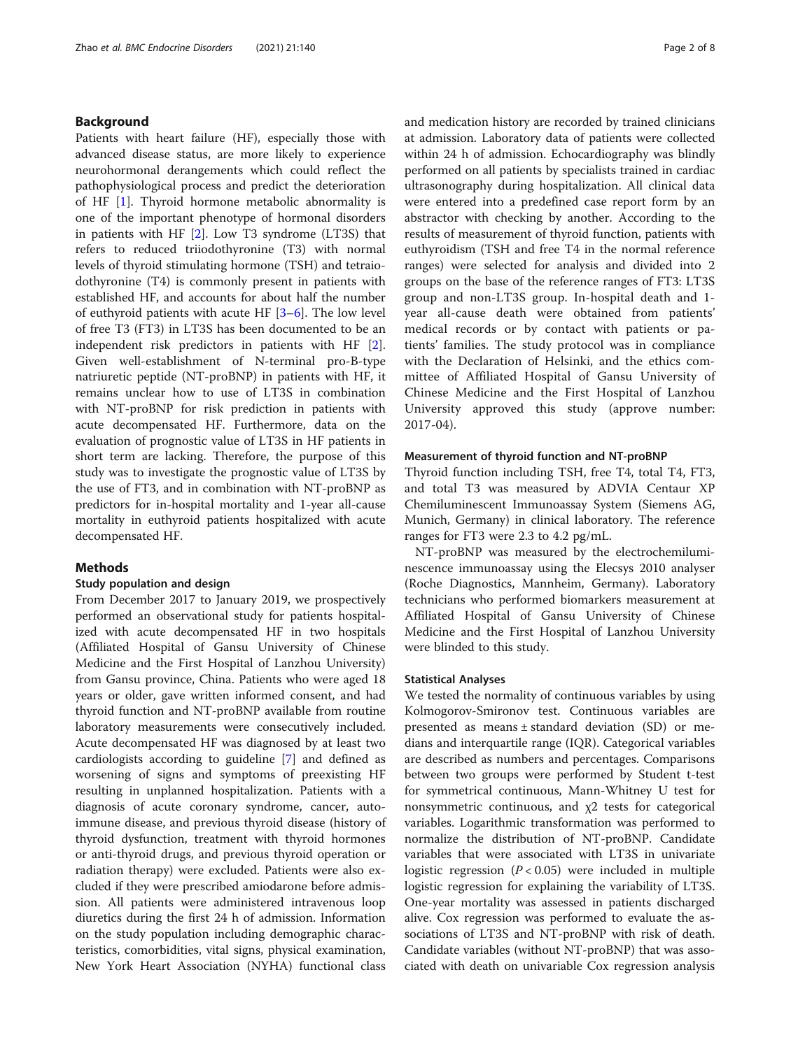#### Background

Patients with heart failure (HF), especially those with advanced disease status, are more likely to experience neurohormonal derangements which could reflect the pathophysiological process and predict the deterioration of HF [\[1](#page-6-0)]. Thyroid hormone metabolic abnormality is one of the important phenotype of hormonal disorders in patients with HF  $[2]$  $[2]$ . Low T3 syndrome (LT3S) that refers to reduced triiodothyronine (T3) with normal levels of thyroid stimulating hormone (TSH) and tetraiodothyronine (T4) is commonly present in patients with established HF, and accounts for about half the number of euthyroid patients with acute HF [[3](#page-6-0)–[6](#page-6-0)]. The low level of free T3 (FT3) in LT3S has been documented to be an independent risk predictors in patients with HF [\[2](#page-6-0)]. Given well-establishment of N-terminal pro-B-type natriuretic peptide (NT-proBNP) in patients with HF, it remains unclear how to use of LT3S in combination with NT-proBNP for risk prediction in patients with acute decompensated HF. Furthermore, data on the evaluation of prognostic value of LT3S in HF patients in short term are lacking. Therefore, the purpose of this study was to investigate the prognostic value of LT3S by the use of FT3, and in combination with NT-proBNP as predictors for in-hospital mortality and 1-year all-cause mortality in euthyroid patients hospitalized with acute decompensated HF.

#### **Methods**

#### Study population and design

From December 2017 to January 2019, we prospectively performed an observational study for patients hospitalized with acute decompensated HF in two hospitals (Affiliated Hospital of Gansu University of Chinese Medicine and the First Hospital of Lanzhou University) from Gansu province, China. Patients who were aged 18 years or older, gave written informed consent, and had thyroid function and NT-proBNP available from routine laboratory measurements were consecutively included. Acute decompensated HF was diagnosed by at least two cardiologists according to guideline [\[7\]](#page-6-0) and defined as worsening of signs and symptoms of preexisting HF resulting in unplanned hospitalization. Patients with a diagnosis of acute coronary syndrome, cancer, autoimmune disease, and previous thyroid disease (history of thyroid dysfunction, treatment with thyroid hormones or anti-thyroid drugs, and previous thyroid operation or radiation therapy) were excluded. Patients were also excluded if they were prescribed amiodarone before admission. All patients were administered intravenous loop diuretics during the first 24 h of admission. Information on the study population including demographic characteristics, comorbidities, vital signs, physical examination, New York Heart Association (NYHA) functional class and medication history are recorded by trained clinicians at admission. Laboratory data of patients were collected within 24 h of admission. Echocardiography was blindly performed on all patients by specialists trained in cardiac ultrasonography during hospitalization. All clinical data were entered into a predefined case report form by an abstractor with checking by another. According to the results of measurement of thyroid function, patients with euthyroidism (TSH and free T4 in the normal reference ranges) were selected for analysis and divided into 2 groups on the base of the reference ranges of FT3: LT3S group and non-LT3S group. In-hospital death and 1 year all-cause death were obtained from patients' medical records or by contact with patients or patients' families. The study protocol was in compliance with the Declaration of Helsinki, and the ethics committee of Affiliated Hospital of Gansu University of Chinese Medicine and the First Hospital of Lanzhou University approved this study (approve number: 2017-04).

#### Measurement of thyroid function and NT-proBNP

Thyroid function including TSH, free T4, total T4, FT3, and total T3 was measured by ADVIA Centaur XP Chemiluminescent Immunoassay System (Siemens AG, Munich, Germany) in clinical laboratory. The reference ranges for FT3 were 2.3 to 4.2 pg/mL.

NT-proBNP was measured by the electrochemiluminescence immunoassay using the Elecsys 2010 analyser (Roche Diagnostics, Mannheim, Germany). Laboratory technicians who performed biomarkers measurement at Affiliated Hospital of Gansu University of Chinese Medicine and the First Hospital of Lanzhou University were blinded to this study.

#### Statistical Analyses

We tested the normality of continuous variables by using Kolmogorov-Smironov test. Continuous variables are presented as means ± standard deviation (SD) or medians and interquartile range (IQR). Categorical variables are described as numbers and percentages. Comparisons between two groups were performed by Student t-test for symmetrical continuous, Mann-Whitney U test for nonsymmetric continuous, and  $\chi$ 2 tests for categorical variables. Logarithmic transformation was performed to normalize the distribution of NT-proBNP. Candidate variables that were associated with LT3S in univariate logistic regression  $(P < 0.05)$  were included in multiple logistic regression for explaining the variability of LT3S. One-year mortality was assessed in patients discharged alive. Cox regression was performed to evaluate the associations of LT3S and NT-proBNP with risk of death. Candidate variables (without NT-proBNP) that was associated with death on univariable Cox regression analysis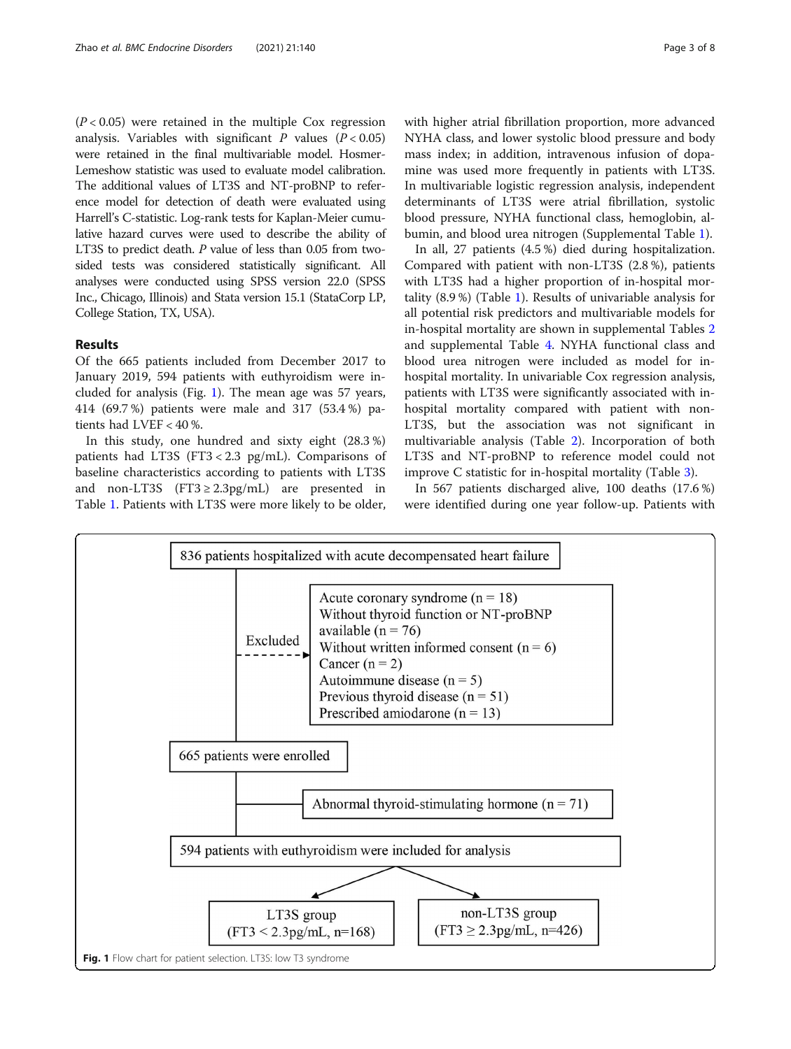$(P < 0.05)$  were retained in the multiple Cox regression analysis. Variables with significant  $P$  values ( $P < 0.05$ ) were retained in the final multivariable model. Hosmer-Lemeshow statistic was used to evaluate model calibration. The additional values of LT3S and NT-proBNP to reference model for detection of death were evaluated using Harrell's C-statistic. Log-rank tests for Kaplan-Meier cumulative hazard curves were used to describe the ability of LT3S to predict death. P value of less than 0.05 from twosided tests was considered statistically significant. All analyses were conducted using SPSS version 22.0 (SPSS Inc., Chicago, Illinois) and Stata version 15.1 (StataCorp LP, College Station, TX, USA).

#### Results

Of the 665 patients included from December 2017 to January 2019, 594 patients with euthyroidism were included for analysis (Fig. 1). The mean age was 57 years, 414 (69.7 %) patients were male and 317 (53.4 %) patients had LVEF < 40 %.

In this study, one hundred and sixty eight (28.3 %) patients had LT3S (FT3 < 2.3 pg/mL). Comparisons of baseline characteristics according to patients with LT3S and non-LT3S (FT3  $\geq$  2.3pg/mL) are presented in Table [1](#page-3-0). Patients with LT3S were more likely to be older, with higher atrial fibrillation proportion, more advanced NYHA class, and lower systolic blood pressure and body mass index; in addition, intravenous infusion of dopamine was used more frequently in patients with LT3S. In multivariable logistic regression analysis, independent determinants of LT3S were atrial fibrillation, systolic blood pressure, NYHA functional class, hemoglobin, albumin, and blood urea nitrogen (Supplemental Table [1](#page-6-0)).

In all, 27 patients (4.5 %) died during hospitalization. Compared with patient with non-LT3S (2.8 %), patients with LT3S had a higher proportion of in-hospital mortality (8.9 %) (Table [1\)](#page-3-0). Results of univariable analysis for all potential risk predictors and multivariable models for in-hospital mortality are shown in supplemental Tables [2](#page-6-0) and supplemental Table [4.](#page-6-0) NYHA functional class and blood urea nitrogen were included as model for inhospital mortality. In univariable Cox regression analysis, patients with LT3S were significantly associated with inhospital mortality compared with patient with non-LT3S, but the association was not significant in multivariable analysis (Table [2](#page-4-0)). Incorporation of both LT3S and NT-proBNP to reference model could not improve C statistic for in-hospital mortality (Table [3](#page-4-0)).

In 567 patients discharged alive, 100 deaths (17.6 %) were identified during one year follow-up. Patients with

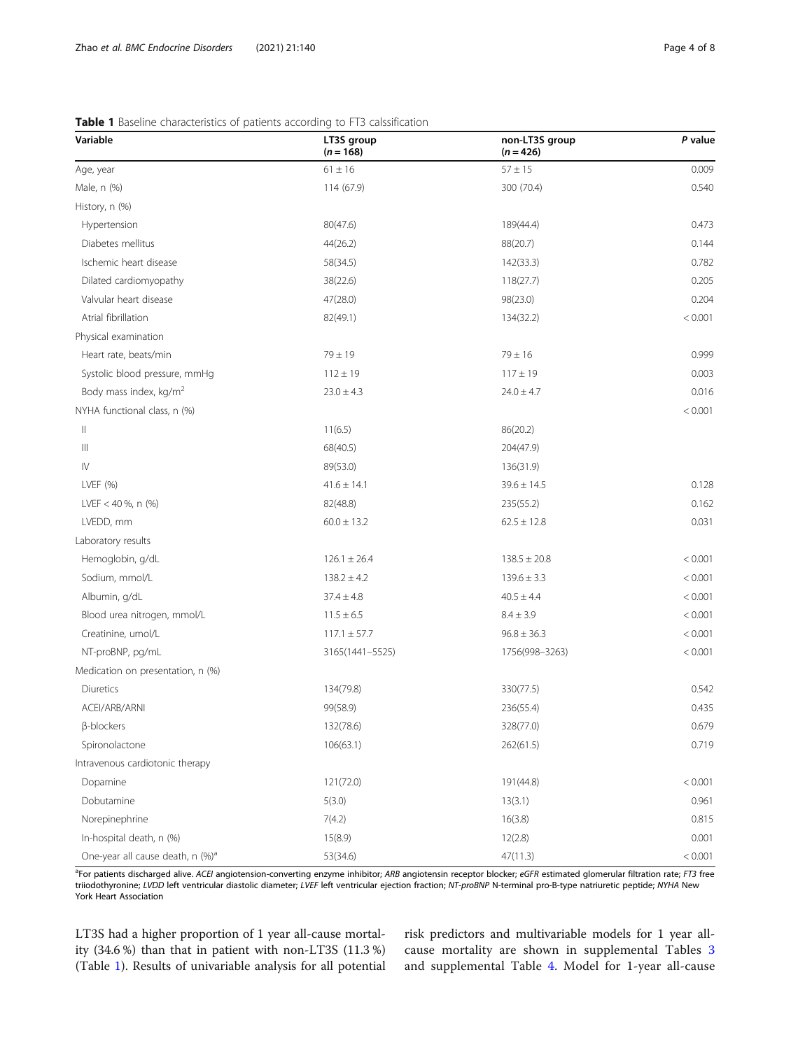| Variable                                     | LT3S group<br>$(n = 168)$ | non-LT3S group<br>$(n = 426)$ | P value |
|----------------------------------------------|---------------------------|-------------------------------|---------|
| Age, year                                    | $61 \pm 16$               | $57 \pm 15$                   | 0.009   |
| Male, n (%)                                  | 114 (67.9)                | 300 (70.4)                    | 0.540   |
| History, n (%)                               |                           |                               |         |
| Hypertension                                 | 80(47.6)                  | 189(44.4)                     | 0.473   |
| Diabetes mellitus                            | 44(26.2)                  | 88(20.7)                      | 0.144   |
| Ischemic heart disease                       | 58(34.5)                  | 142(33.3)                     | 0.782   |
| Dilated cardiomyopathy                       | 38(22.6)                  | 118(27.7)                     | 0.205   |
| Valvular heart disease                       | 47(28.0)                  | 98(23.0)                      | 0.204   |
| Atrial fibrillation                          | 82(49.1)                  | 134(32.2)                     | < 0.001 |
| Physical examination                         |                           |                               |         |
| Heart rate, beats/min                        | $79 \pm 19$               | $79 \pm 16$                   | 0.999   |
| Systolic blood pressure, mmHg                | $112 \pm 19$              | $117 \pm 19$                  | 0.003   |
| Body mass index, kg/m <sup>2</sup>           | $23.0 \pm 4.3$            | $24.0 \pm 4.7$                | 0.016   |
| NYHA functional class, n (%)                 |                           |                               | < 0.001 |
| $\parallel$                                  | 11(6.5)                   | 86(20.2)                      |         |
| $\begin{array}{c} \hline \end{array}$        | 68(40.5)                  | 204(47.9)                     |         |
| $\mathsf{I}\mathsf{V}$                       | 89(53.0)                  | 136(31.9)                     |         |
| LVEF (%)                                     | $41.6 \pm 14.1$           | $39.6 \pm 14.5$               | 0.128   |
| LVEF < 40 %, n $(%$                          | 82(48.8)                  | 235(55.2)                     | 0.162   |
| LVEDD, mm                                    | $60.0 \pm 13.2$           | $62.5 \pm 12.8$               | 0.031   |
| Laboratory results                           |                           |                               |         |
| Hemoglobin, g/dL                             | $126.1 \pm 26.4$          | $138.5 \pm 20.8$              | < 0.001 |
| Sodium, mmol/L                               | $138.2 \pm 4.2$           | $139.6 \pm 3.3$               | < 0.001 |
| Albumin, g/dL                                | $37.4 \pm 4.8$            | $40.5 \pm 4.4$                | < 0.001 |
| Blood urea nitrogen, mmol/L                  | $11.5 \pm 6.5$            | $8.4 \pm 3.9$                 | < 0.001 |
| Creatinine, umol/L                           | $117.1 \pm 57.7$          | $96.8 \pm 36.3$               | < 0.001 |
| NT-proBNP, pg/mL                             | 3165(1441-5525)           | 1756(998-3263)                | < 0.001 |
| Medication on presentation, n (%)            |                           |                               |         |
| Diuretics                                    | 134(79.8)                 | 330(77.5)                     | 0.542   |
| ACEI/ARB/ARNI                                | 99(58.9)                  | 236(55.4)                     | 0.435   |
| β-blockers                                   | 132(78.6)                 | 328(77.0)                     | 0.679   |
| Spironolactone                               | 106(63.1)                 | 262(61.5)                     | 0.719   |
| Intravenous cardiotonic therapy              |                           |                               |         |
| Dopamine                                     | 121(72.0)                 | 191(44.8)                     | < 0.001 |
| Dobutamine                                   | 5(3.0)                    | 13(3.1)                       | 0.961   |
| Norepinephrine                               | 7(4.2)                    | 16(3.8)                       | 0.815   |
| In-hospital death, n (%)                     | 15(8.9)                   | 12(2.8)                       | 0.001   |
| One-year all cause death, n (%) <sup>a</sup> | 53(34.6)                  | 47(11.3)                      | < 0.001 |

#### <span id="page-3-0"></span>Table 1 Baseline characteristics of patients according to FT3 calssification

<sup>a</sup>For patients discharged alive. ACEI angiotension-converting enzyme inhibitor; ARB angiotensin receptor blocker; eGFR estimated glomerular filtration rate; FT3 free triiodothyronine; LVDD left ventricular diastolic diameter; LVEF left ventricular ejection fraction; NT-proBNP N-terminal pro-B-type natriuretic peptide; NYHA New York Heart Association

LT3S had a higher proportion of 1 year all-cause mortality (34.6 %) than that in patient with non-LT3S (11.3 %) (Table 1). Results of univariable analysis for all potential risk predictors and multivariable models for 1 year allcause mortality are shown in supplemental Tables [3](#page-6-0) and supplemental Table [4.](#page-6-0) Model for 1-year all-cause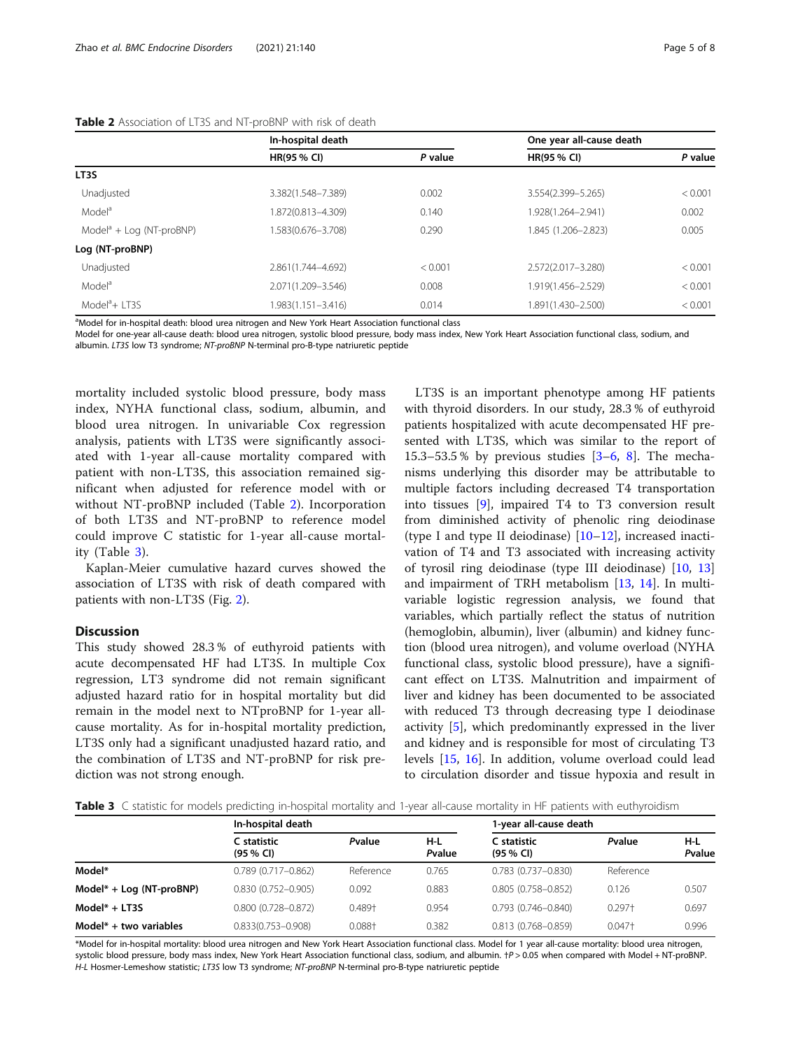#### <span id="page-4-0"></span>Table 2 Association of LT3S and NT-proBNP with risk of death

|                            | In-hospital death  |         | One year all-cause death |         |
|----------------------------|--------------------|---------|--------------------------|---------|
|                            | <b>HR(95 % CI)</b> | P value | <b>HR(95 % CI)</b>       | P value |
| LT3S                       |                    |         |                          |         |
| Unadjusted                 | 3.382(1.548-7.389) | 0.002   | 3.554(2.399-5.265)       | < 0.001 |
| Model <sup>a</sup>         | 1.872(0.813-4.309) | 0.140   | 1.928(1.264-2.941)       | 0.002   |
| $Modela + Log (NT-proBNP)$ | 1.583(0.676-3.708) | 0.290   | 1.845 (1.206-2.823)      | 0.005   |
| Log (NT-proBNP)            |                    |         |                          |         |
| Unadjusted                 | 2.861(1.744-4.692) | < 0.001 | 2.572(2.017-3.280)       | < 0.001 |
| Model <sup>a</sup>         | 2.071(1.209-3.546) | 0.008   | 1.919(1.456-2.529)       | < 0.001 |
| $Modela + 1T3S$            | 1.983(1.151-3.416) | 0.014   | 1.891(1.430-2.500)       | < 0.001 |

<sup>a</sup>Model for in-hospital death: blood urea nitrogen and New York Heart Association functional class

Model for one-year all-cause death: blood urea nitrogen, systolic blood pressure, body mass index, New York Heart Association functional class, sodium, and

albumin. LT3S low T3 syndrome; NT-proBNP N-terminal pro-B-type natriuretic peptide

mortality included systolic blood pressure, body mass index, NYHA functional class, sodium, albumin, and blood urea nitrogen. In univariable Cox regression analysis, patients with LT3S were significantly associated with 1-year all-cause mortality compared with patient with non-LT3S, this association remained significant when adjusted for reference model with or without NT-proBNP included (Table 2). Incorporation of both LT3S and NT-proBNP to reference model could improve C statistic for 1-year all-cause mortality (Table 3).

Kaplan-Meier cumulative hazard curves showed the association of LT3S with risk of death compared with patients with non-LT3S (Fig. [2\)](#page-5-0).

#### Discussion

This study showed 28.3 % of euthyroid patients with acute decompensated HF had LT3S. In multiple Cox regression, LT3 syndrome did not remain significant adjusted hazard ratio for in hospital mortality but did remain in the model next to NTproBNP for 1-year allcause mortality. As for in-hospital mortality prediction, LT3S only had a significant unadjusted hazard ratio, and the combination of LT3S and NT-proBNP for risk prediction was not strong enough.

LT3S is an important phenotype among HF patients with thyroid disorders. In our study, 28.3 % of euthyroid patients hospitalized with acute decompensated HF presented with LT3S, which was similar to the report of 15.[3](#page-6-0)–53.5 % by previous studies  $[3-6, 8]$  $[3-6, 8]$  $[3-6, 8]$  $[3-6, 8]$ . The mechanisms underlying this disorder may be attributable to multiple factors including decreased T4 transportation into tissues [[9\]](#page-7-0), impaired T4 to T3 conversion result from diminished activity of phenolic ring deiodinase (type I and type II deiodinase) [[10](#page-7-0)–[12](#page-7-0)], increased inactivation of T4 and T3 associated with increasing activity of tyrosil ring deiodinase (type III deiodinase) [\[10,](#page-7-0) [13](#page-7-0)] and impairment of TRH metabolism [[13,](#page-7-0) [14](#page-7-0)]. In multivariable logistic regression analysis, we found that variables, which partially reflect the status of nutrition (hemoglobin, albumin), liver (albumin) and kidney function (blood urea nitrogen), and volume overload (NYHA functional class, systolic blood pressure), have a significant effect on LT3S. Malnutrition and impairment of liver and kidney has been documented to be associated with reduced T3 through decreasing type I deiodinase activity [\[5](#page-6-0)], which predominantly expressed in the liver and kidney and is responsible for most of circulating T3 levels [\[15](#page-7-0), [16](#page-7-0)]. In addition, volume overload could lead to circulation disorder and tissue hypoxia and result in

Table 3 C statistic for models predicting in-hospital mortality and 1-year all-cause mortality in HF patients with euthyroidism

|                            | In-hospital death           |           |               | 1-year all-cause death             |           |               |
|----------------------------|-----------------------------|-----------|---------------|------------------------------------|-----------|---------------|
|                            | C statistic<br>$(95 \% Cl)$ | Pvalue    | H-L<br>Pvalue | C statistic<br>$(95\% \text{ Cl})$ | Pvalue    | H-L<br>Pvalue |
| Model*                     | $0.789(0.717 - 0.862)$      | Reference | 0.765         | $0.783(0.737 - 0.830)$             | Reference |               |
| $Model* + Log (NT-proBNP)$ | $0.830(0.752 - 0.905)$      | 0.092     | 0.883         | $0.805(0.758 - 0.852)$             | 0.126     | 0.507         |
| $Model* + LTSS$            | $0.800$ $(0.728 - 0.872)$   | 0.489+    | 0.954         | $0.793(0.746 - 0.840)$             | $0.297 +$ | 0.697         |
| Model $*$ + two variables  | $0.833(0.753 - 0.908)$      | $0.088 +$ | 0.382         | $0.813(0.768 - 0.859)$             | $0.047+$  | 0.996         |

\*Model for in-hospital mortality: blood urea nitrogen and New York Heart Association functional class. Model for 1 year all-cause mortality: blood urea nitrogen, systolic blood pressure, body mass index, New York Heart Association functional class, sodium, and albumin.  $tp > 0.05$  when compared with Model + NT-proBNP H-L Hosmer-Lemeshow statistic; LT3S low T3 syndrome; NT-proBNP N-terminal pro-B-type natriuretic peptide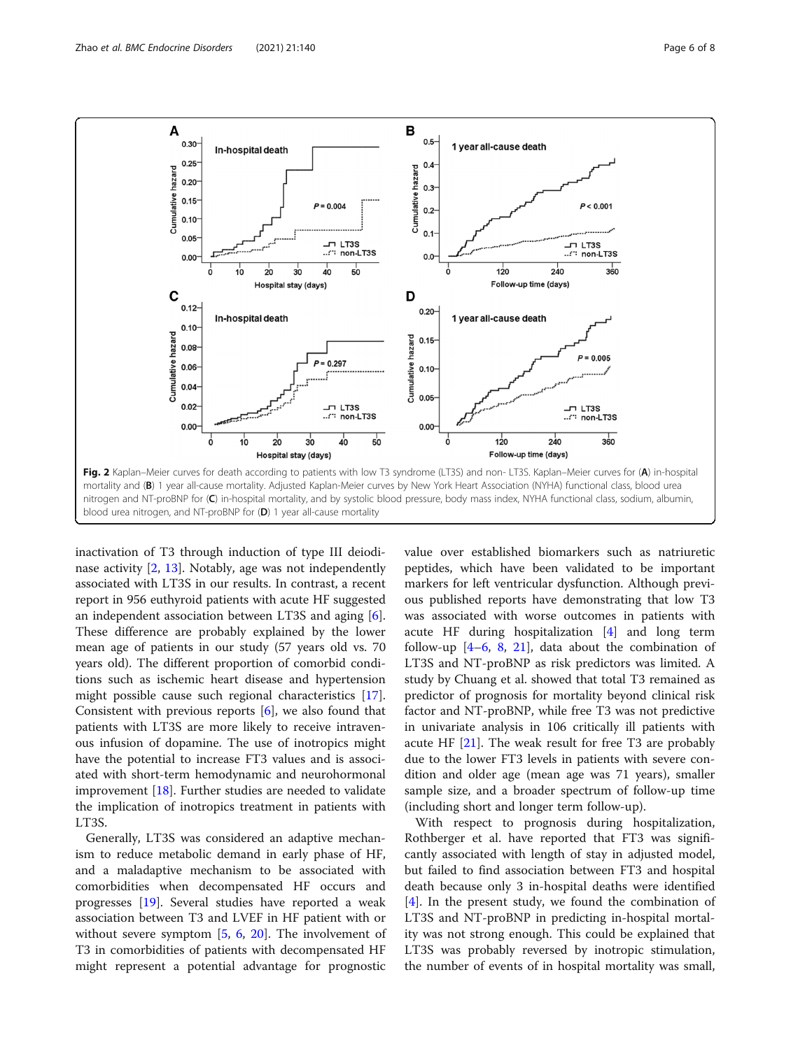<span id="page-5-0"></span>

inactivation of T3 through induction of type III deiodinase activity [[2,](#page-6-0) [13](#page-7-0)]. Notably, age was not independently associated with LT3S in our results. In contrast, a recent report in 956 euthyroid patients with acute HF suggested an independent association between LT3S and aging [\[6](#page-6-0)]. These difference are probably explained by the lower mean age of patients in our study (57 years old vs. 70 years old). The different proportion of comorbid conditions such as ischemic heart disease and hypertension might possible cause such regional characteristics [\[17](#page-7-0)]. Consistent with previous reports [\[6\]](#page-6-0), we also found that patients with LT3S are more likely to receive intravenous infusion of dopamine. The use of inotropics might have the potential to increase FT3 values and is associated with short-term hemodynamic and neurohormonal improvement [[18](#page-7-0)]. Further studies are needed to validate the implication of inotropics treatment in patients with LT3S.

Generally, LT3S was considered an adaptive mechanism to reduce metabolic demand in early phase of HF, and a maladaptive mechanism to be associated with comorbidities when decompensated HF occurs and progresses [[19\]](#page-7-0). Several studies have reported a weak association between T3 and LVEF in HF patient with or without severe symptom [[5,](#page-6-0) [6,](#page-6-0) [20\]](#page-7-0). The involvement of T3 in comorbidities of patients with decompensated HF might represent a potential advantage for prognostic

value over established biomarkers such as natriuretic peptides, which have been validated to be important markers for left ventricular dysfunction. Although previous published reports have demonstrating that low T3 was associated with worse outcomes in patients with acute HF during hospitalization [\[4\]](#page-6-0) and long term follow-up  $[4-6, 8, 21]$  $[4-6, 8, 21]$  $[4-6, 8, 21]$  $[4-6, 8, 21]$  $[4-6, 8, 21]$  $[4-6, 8, 21]$  $[4-6, 8, 21]$  $[4-6, 8, 21]$  $[4-6, 8, 21]$ , data about the combination of LT3S and NT-proBNP as risk predictors was limited. A study by Chuang et al. showed that total T3 remained as predictor of prognosis for mortality beyond clinical risk factor and NT-proBNP, while free T3 was not predictive in univariate analysis in 106 critically ill patients with acute HF  $[21]$  $[21]$ . The weak result for free T3 are probably due to the lower FT3 levels in patients with severe condition and older age (mean age was 71 years), smaller sample size, and a broader spectrum of follow-up time (including short and longer term follow-up).

With respect to prognosis during hospitalization, Rothberger et al. have reported that FT3 was significantly associated with length of stay in adjusted model, but failed to find association between FT3 and hospital death because only 3 in-hospital deaths were identified [[4\]](#page-6-0). In the present study, we found the combination of LT3S and NT-proBNP in predicting in-hospital mortality was not strong enough. This could be explained that LT3S was probably reversed by inotropic stimulation, the number of events of in hospital mortality was small,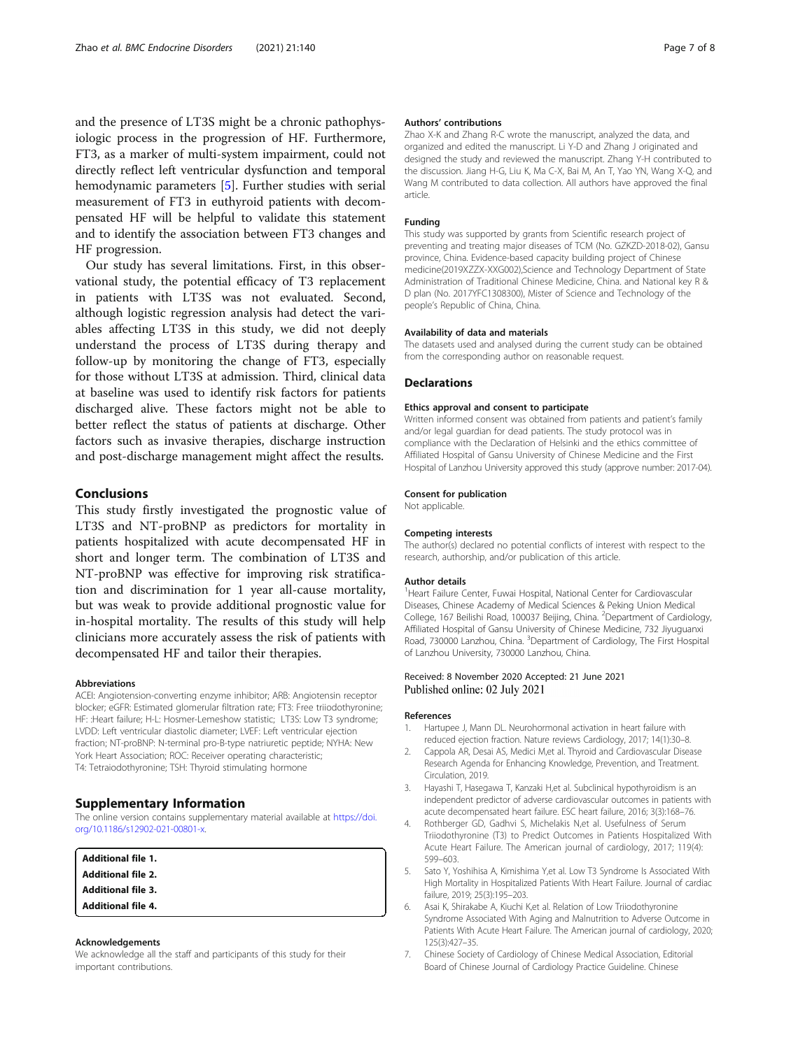<span id="page-6-0"></span>and the presence of LT3S might be a chronic pathophysiologic process in the progression of HF. Furthermore, FT3, as a marker of multi-system impairment, could not directly reflect left ventricular dysfunction and temporal hemodynamic parameters [5]. Further studies with serial measurement of FT3 in euthyroid patients with decompensated HF will be helpful to validate this statement and to identify the association between FT3 changes and HF progression.

Our study has several limitations. First, in this observational study, the potential efficacy of T3 replacement in patients with LT3S was not evaluated. Second, although logistic regression analysis had detect the variables affecting LT3S in this study, we did not deeply understand the process of LT3S during therapy and follow-up by monitoring the change of FT3, especially for those without LT3S at admission. Third, clinical data at baseline was used to identify risk factors for patients discharged alive. These factors might not be able to better reflect the status of patients at discharge. Other factors such as invasive therapies, discharge instruction and post-discharge management might affect the results.

#### Conclusions

This study firstly investigated the prognostic value of LT3S and NT-proBNP as predictors for mortality in patients hospitalized with acute decompensated HF in short and longer term. The combination of LT3S and NT-proBNP was effective for improving risk stratification and discrimination for 1 year all-cause mortality, but was weak to provide additional prognostic value for in-hospital mortality. The results of this study will help clinicians more accurately assess the risk of patients with decompensated HF and tailor their therapies.

#### Abbreviations

ACEI: Angiotension-converting enzyme inhibitor; ARB: Angiotensin receptor blocker; eGFR: Estimated glomerular filtration rate; FT3: Free triiodothyronine; HF: :Heart failure; H-L: Hosmer-Lemeshow statistic; LT3S: Low T3 syndrome; LVDD: Left ventricular diastolic diameter; LVEF: Left ventricular ejection fraction; NT-proBNP: N-terminal pro-B-type natriuretic peptide; NYHA: New York Heart Association; ROC: Receiver operating characteristic; T4: Tetraiodothyronine; TSH: Thyroid stimulating hormone

#### Supplementary Information

The online version contains supplementary material available at [https://doi.](https://doi.org/10.1186/s12902-021-00801-x) [org/10.1186/s12902-021-00801-x](https://doi.org/10.1186/s12902-021-00801-x).

Additional file 1. Additional file 2. Additional file 3. Additional file 4.

#### Acknowledgements

We acknowledge all the staff and participants of this study for their important contributions.

#### Authors' contributions

Zhao X-K and Zhang R-C wrote the manuscript, analyzed the data, and organized and edited the manuscript. Li Y-D and Zhang J originated and designed the study and reviewed the manuscript. Zhang Y-H contributed to the discussion. Jiang H-G, Liu K, Ma C-X, Bai M, An T, Yao YN, Wang X-Q, and Wang M contributed to data collection. All authors have approved the final article.

#### Funding

This study was supported by grants from Scientific research project of preventing and treating major diseases of TCM (No. GZKZD-2018-02), Gansu province, China. Evidence-based capacity building project of Chinese medicine(2019XZZX-XXG002),Science and Technology Department of State Administration of Traditional Chinese Medicine, China. and National key R & D plan (No. 2017YFC1308300), Mister of Science and Technology of the people's Republic of China, China.

#### Availability of data and materials

The datasets used and analysed during the current study can be obtained from the corresponding author on reasonable request.

#### **Declarations**

#### Ethics approval and consent to participate

Written informed consent was obtained from patients and patient's family and/or legal guardian for dead patients. The study protocol was in compliance with the Declaration of Helsinki and the ethics committee of Affiliated Hospital of Gansu University of Chinese Medicine and the First Hospital of Lanzhou University approved this study (approve number: 2017-04).

#### Consent for publication

Not applicable.

#### Competing interests

The author(s) declared no potential conflicts of interest with respect to the research, authorship, and/or publication of this article.

#### Author details

<sup>1</sup> Heart Failure Center, Fuwai Hospital, National Center for Cardiovascular Diseases, Chinese Academy of Medical Sciences & Peking Union Medical College, 167 Beilishi Road, 100037 Beijing, China. <sup>2</sup>Department of Cardiology, Affiliated Hospital of Gansu University of Chinese Medicine, 732 Jiyuguanxi Road, 730000 Lanzhou, China. <sup>3</sup>Department of Cardiology, The First Hospital of Lanzhou University, 730000 Lanzhou, China.

#### Received: 8 November 2020 Accepted: 21 June 2021 Published online: 02 July 2021

#### References

- 1. Hartupee J, Mann DL. Neurohormonal activation in heart failure with reduced ejection fraction. Nature reviews Cardiology, 2017; 14(1):30–8.
- 2. Cappola AR, Desai AS, Medici M,et al. Thyroid and Cardiovascular Disease Research Agenda for Enhancing Knowledge, Prevention, and Treatment. Circulation, 2019.
- 3. Hayashi T, Hasegawa T, Kanzaki H,et al. Subclinical hypothyroidism is an independent predictor of adverse cardiovascular outcomes in patients with acute decompensated heart failure. ESC heart failure, 2016; 3(3):168–76.
- 4. Rothberger GD, Gadhvi S, Michelakis N,et al. Usefulness of Serum Triiodothyronine (T3) to Predict Outcomes in Patients Hospitalized With Acute Heart Failure. The American journal of cardiology, 2017; 119(4): 599–603.
- 5. Sato Y, Yoshihisa A, Kimishima Y,et al. Low T3 Syndrome Is Associated With High Mortality in Hospitalized Patients With Heart Failure. Journal of cardiac failure, 2019; 25(3):195–203.
- 6. Asai K, Shirakabe A, Kiuchi K,et al. Relation of Low Triiodothyronine Syndrome Associated With Aging and Malnutrition to Adverse Outcome in Patients With Acute Heart Failure. The American journal of cardiology, 2020; 125(3):427–35.
- 7. Chinese Society of Cardiology of Chinese Medical Association, Editorial Board of Chinese Journal of Cardiology Practice Guideline. Chinese